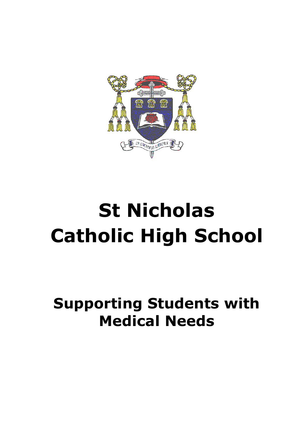

# **St Nicholas Catholic High School**

# **Supporting Students with Medical Needs**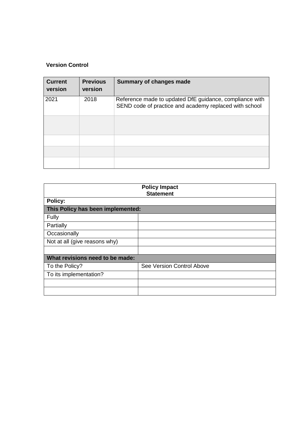#### **Version Control**

| <b>Current</b><br>version | <b>Previous</b><br>version | <b>Summary of changes made</b>                                                                                    |
|---------------------------|----------------------------|-------------------------------------------------------------------------------------------------------------------|
| 2021                      | 2018                       | Reference made to updated DfE guidance, compliance with<br>SEND code of practice and academy replaced with school |
|                           |                            |                                                                                                                   |
|                           |                            |                                                                                                                   |
|                           |                            |                                                                                                                   |
|                           |                            |                                                                                                                   |

| <b>Policy Impact</b><br><b>Statement</b> |                           |  |  |  |
|------------------------------------------|---------------------------|--|--|--|
| <b>Policy:</b>                           |                           |  |  |  |
| This Policy has been implemented:        |                           |  |  |  |
| Fully                                    |                           |  |  |  |
| Partially                                |                           |  |  |  |
| Occasionally                             |                           |  |  |  |
| Not at all (give reasons why)            |                           |  |  |  |
|                                          |                           |  |  |  |
| What revisions need to be made:          |                           |  |  |  |
| To the Policy?                           | See Version Control Above |  |  |  |
| To its implementation?                   |                           |  |  |  |
|                                          |                           |  |  |  |
|                                          |                           |  |  |  |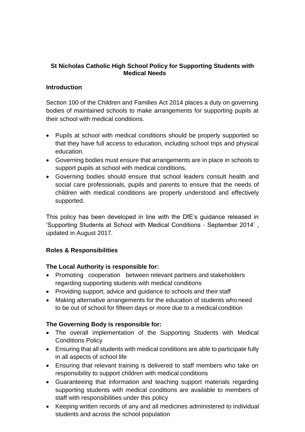# **St Nicholas Catholic High School Policy for Supporting Students with Medical Needs**

#### **Introduction**

Section 100 of the Children and Families Act 2014 places a duty on governing bodies of maintained schools to make arrangements for supporting pupils at their school with medical conditions.

- Pupils at school with medical conditions should be properly supported so that they have full access to education, including school trips and physical education.
- Governing bodies must ensure that arrangements are in place in schools to support pupils at school with medical conditions.
- Governing bodies should ensure that school leaders consult health and social care professionals, pupils and parents to ensure that the needs of children with medical conditions are properly understood and effectively supported.

This policy has been developed in line with the DfE's guidance released in 'Supporting Students at School with Medical Conditions - September 2014' , updated in August 2017.

# **Roles & Responsibilities**

# **The Local Authority is responsible for:**

- Promoting cooperation between relevant partners and stakeholders regarding supporting students with medical conditions
- Providing support, advice and guidance to schools and their staff
- Making alternative arrangements for the education of students who need to be out of school for fifteen days or more due to a medical condition

# **The Governing Body is responsible for:**

- The overall implementation of the Supporting Students with Medical Conditions Policy
- Ensuring that all students with medical conditions are able to participate fully in all aspects of school life
- Ensuring that relevant training is delivered to staff members who take on responsibility to support children with medical conditions
- Guaranteeing that information and teaching support materials regarding supporting students with medical conditions are available to members of staff with responsibilities under this policy
- Keeping written records of any and all medicines administered to individual students and across the school population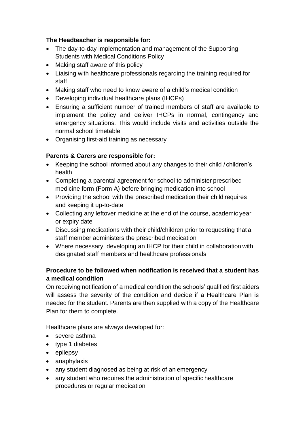# **The Headteacher is responsible for:**

- The day-to-day implementation and management of the Supporting Students with Medical Conditions Policy
- Making staff aware of this policy
- Liaising with healthcare professionals regarding the training required for staff
- Making staff who need to know aware of a child's medical condition
- Developing individual healthcare plans (IHCPs)
- Ensuring a sufficient number of trained members of staff are available to implement the policy and deliver IHCPs in normal, contingency and emergency situations. This would include visits and activities outside the normal school timetable
- Organising first-aid training as necessary

# **Parents & Carers are responsible for:**

- Keeping the school informed about any changes to their child / children's health
- Completing a parental agreement for school to administer prescribed medicine form (Form A) before bringing medication into school
- Providing the school with the prescribed medication their child requires and keeping it up-to-date
- Collecting any leftover medicine at the end of the course, academic year or expiry date
- Discussing medications with their child/children prior to requesting that a staff member administers the prescribed medication
- Where necessary, developing an IHCP for their child in collaboration with designated staff members and healthcare professionals

# **Procedure to be followed when notification is received that a student has a medical condition**

On receiving notification of a medical condition the schools' qualified first aiders will assess the severity of the condition and decide if a Healthcare Plan is needed for the student. Parents are then supplied with a copy of the Healthcare Plan for them to complete.

Healthcare plans are always developed for:

- severe asthma
- type 1 diabetes
- epilepsy
- anaphylaxis
- any student diagnosed as being at risk of an emergency
- any student who requires the administration of specific healthcare procedures or regular medication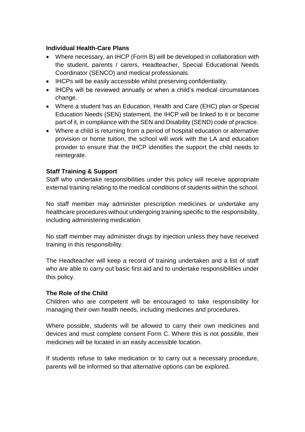#### **Individual Health-Care Plans**

- Where necessary, an IHCP (Form B) will be developed in collaboration with the student, parents / carers, Headteacher, Special Educational Needs Coordinator (SENCO) and medical professionals.
- IHCPs will be easily accessible whilst preserving confidentiality.
- IHCPs will be reviewed annually or when a child's medical circumstances change.
- Where a student has an Education, Health and Care (EHC) plan or Special Education Needs (SEN) statement, the IHCP will be linked to it or become part of it, in compliance with the SEN and Disability (SEND) code of practice.
- Where a child is returning from a period of hospital education or alternative provision or home tuition, the school will work with the LA and education provider to ensure that the IHCP identifies the support the child needs to reintegrate.

# **Staff Training & Support**

Staff who undertake responsibilities under this policy will receive appropriate external training relating to the medical conditions of students within the school.

No staff member may administer prescription medicines or undertake any healthcare procedures without undergoing training specific to the responsibility, including administering medication.

No staff member may administer drugs by injection unless they have received training in this responsibility.

The Headteacher will keep a record of training undertaken and a list of staff who are able to carry out basic first aid and to undertake responsibilities under this policy.

# **The Role of the Child**

Children who are competent will be encouraged to take responsibility for managing their own health needs, including medicines and procedures.

Where possible, students will be allowed to carry their own medicines and devices and must complete consent Form C. Where this is not possible, their medicines will be located in an easily accessible location.

If students refuse to take medication or to carry out a necessary procedure, parents will be informed so that alternative options can be explored.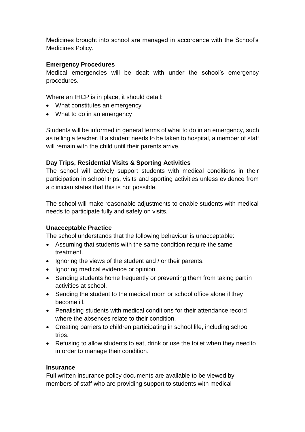Medicines brought into school are managed in accordance with the School's Medicines Policy.

#### **Emergency Procedures**

Medical emergencies will be dealt with under the school's emergency procedures.

Where an IHCP is in place, it should detail:

- What constitutes an emergency
- What to do in an emergency

Students will be informed in general terms of what to do in an emergency, such as telling a teacher. If a student needs to be taken to hospital, a member of staff will remain with the child until their parents arrive.

# **Day Trips, Residential Visits & Sporting Activities**

The school will actively support students with medical conditions in their participation in school trips, visits and sporting activities unless evidence from a clinician states that this is not possible.

The school will make reasonable adjustments to enable students with medical needs to participate fully and safely on visits.

# **Unacceptable Practice**

The school understands that the following behaviour is unacceptable:

- Assuming that students with the same condition require the same treatment.
- Ignoring the views of the student and / or their parents.
- Ignoring medical evidence or opinion.
- Sending students home frequently or preventing them from taking part in activities at school.
- Sending the student to the medical room or school office alone if they become ill.
- Penalising students with medical conditions for their attendance record where the absences relate to their condition.
- Creating barriers to children participating in school life, including school trips.
- Refusing to allow students to eat, drink or use the toilet when they need to in order to manage their condition.

# **Insurance**

Full written insurance policy documents are available to be viewed by members of staff who are providing support to students with medical